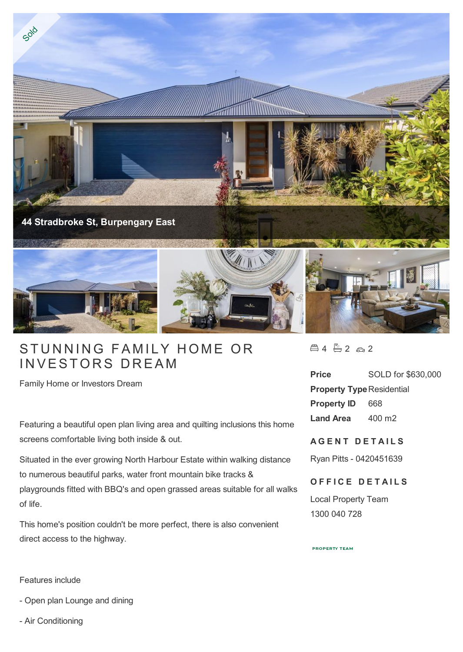

## STUNNING FAMILY HON<br>INVESTORS DREAM

Family Home or Investors Dream

Featuring a beautiful open plan living area and quilting inclusions this home screens comfortable living both inside & out.

Situated in the ever growing North Harbour Estate within walking distance to numerous beautiful parks, water front mountain bike tracks & playgrounds fitted with BBQ's and open grassed areas suitable for all walks of life.

This home's position couldn't be more perfect, there is also convenient direct access to the highway.

 $4 - 2 - 2$ 

**Price** SOLD for \$630,000 **Property Type Residential Property ID** 668 **Land Area** 400 m2

## **A G E N T D E T A I L S**

Ryan Pitts - 0420451639

## **OFFICE DETAILS**

Local Property Team 1300 040 728

**PROPERTY TEAM** 

Features include

- Open plan Lounge and dining
- Air Conditioning